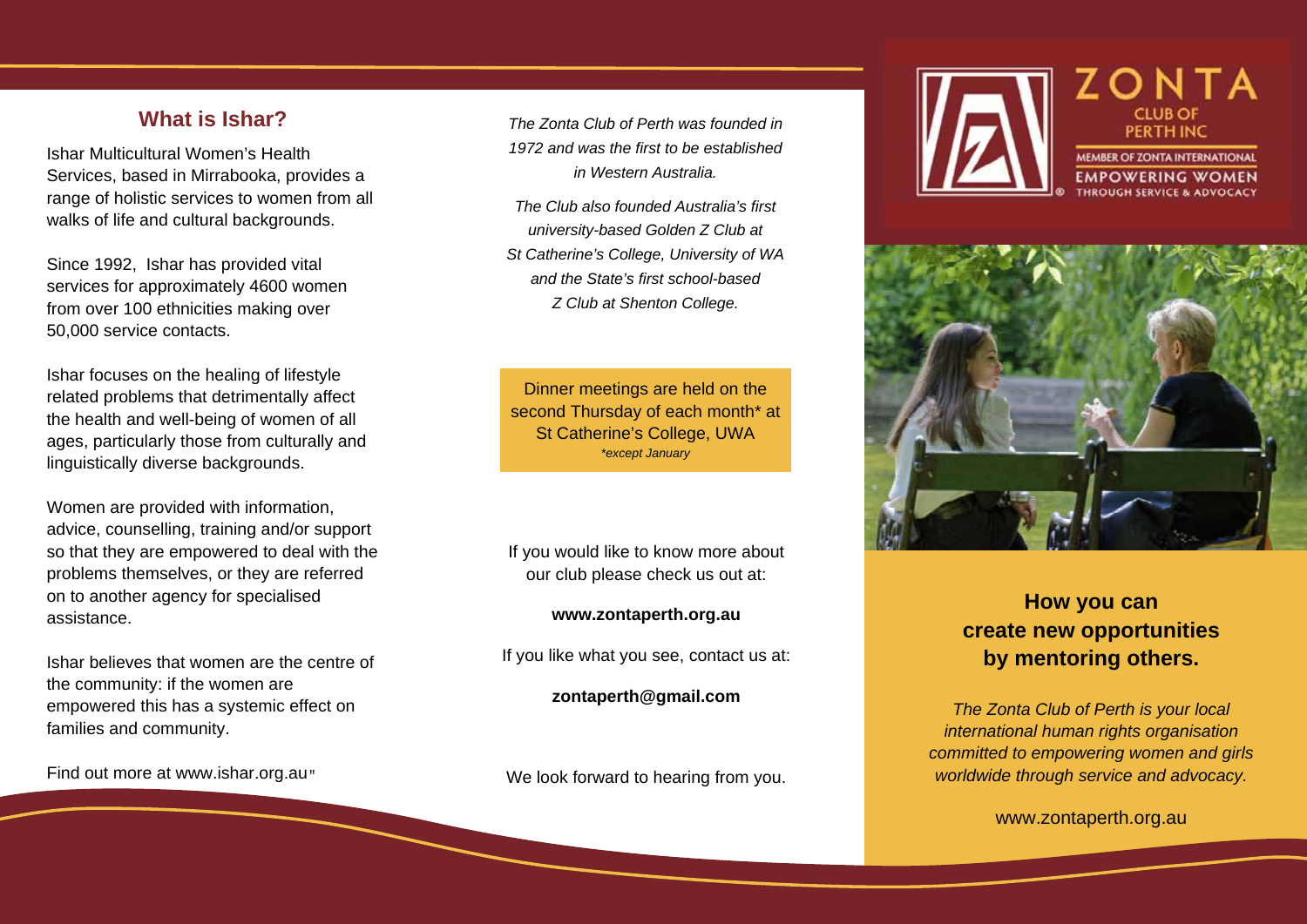## **What is Ishar?**

Ishar Multicultural Women's Health Services, based in Mirrabooka, provides a range of holistic services to women from all walks of life and cultural backgrounds.

Since 1992, Ishar has provided vital services for approximately 4600 women from over 100 ethnicities making over 50,000 service contacts.

Ishar focuses on the healing of lifestyle related problems that detrimentally affect the health and well-being of women of all ages, particularly those from culturally and linguistically diverse backgrounds.

Women are provided with information, advice, counselling, training and/or support so that they are empowered to deal with the problems themselves, or they are referred on to another agency for specialised assistance.

Ishar believes that women are the centre of the community: if the women are empowered this has a systemic effect on families and community.

Find out more at www.ishar.org.au

*The Zonta Club of Perth was founded in 1972 and was the first to be established in Western Australia.* 

*The Club also founded Australia's first university-based Golden Z Club at St Catherine's College, University of WA and the State's first school-based Z Club at Shenton College.*

Dinner meetings are held on the second Thursday of each month\* at St Catherine's College, UWA *\*except January* 

If you would like to know more about our club please check us out at:

#### **www.zontaperth.org.au**

If you like what you see, contact us at:

**zontaperth@gmail.com** 

We look forward to hearing from you.





# **How you can create new opportunities by mentoring others.**

*The Zonta Club of Perth is your local international human rights organisation committed to empowering women and girls worldwide through service and advocacy.* 

www.zontaperth.org.au